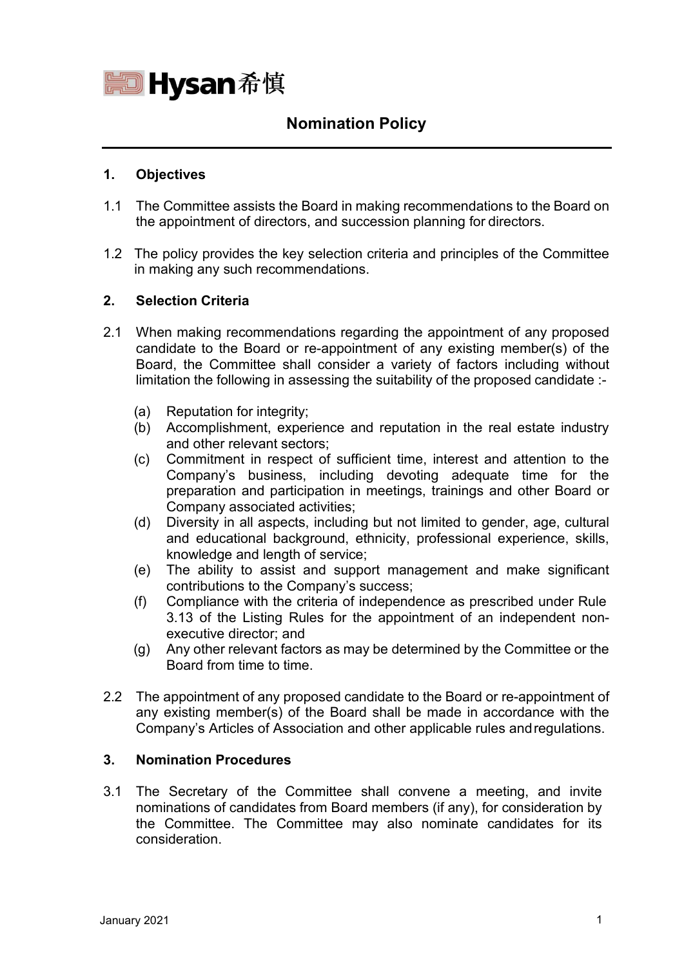

# **Nomination Policy**

## **1. Objectives**

- 1.1 The Committee assists the Board in making recommendations to the Board on the appointment of directors, and succession planning for directors.
- 1.2 The policy provides the key selection criteria and principles of the Committee in making any such recommendations.

#### **2. Selection Criteria**

- 2.1 When making recommendations regarding the appointment of any proposed candidate to the Board or re-appointment of any existing member(s) of the Board, the Committee shall consider a variety of factors including without limitation the following in assessing the suitability of the proposed candidate :-
	- (a) Reputation for integrity;
	- (b) Accomplishment, experience and reputation in the real estate industry and other relevant sectors;
	- (c) Commitment in respect of sufficient time, interest and attention to the Company's business, including devoting adequate time for the preparation and participation in meetings, trainings and other Board or Company associated activities;
	- (d) Diversity in all aspects, including but not limited to gender, age, cultural and educational background, ethnicity, professional experience, skills, knowledge and length of service;
	- (e) The ability to assist and support management and make significant contributions to the Company's success;
	- (f) Compliance with the criteria of independence as prescribed under Rule 3.13 of the Listing Rules for the appointment of an independent nonexecutive director; and
	- (g) Any other relevant factors as may be determined by the Committee or the Board from time to time.
- 2.2 The appointment of any proposed candidate to the Board or re-appointment of any existing member(s) of the Board shall be made in accordance with the Company's Articles of Association and other applicable rules andregulations.

## **3. Nomination Procedures**

3.1 The Secretary of the Committee shall convene a meeting, and invite nominations of candidates from Board members (if any), for consideration by the Committee. The Committee may also nominate candidates for its consideration.